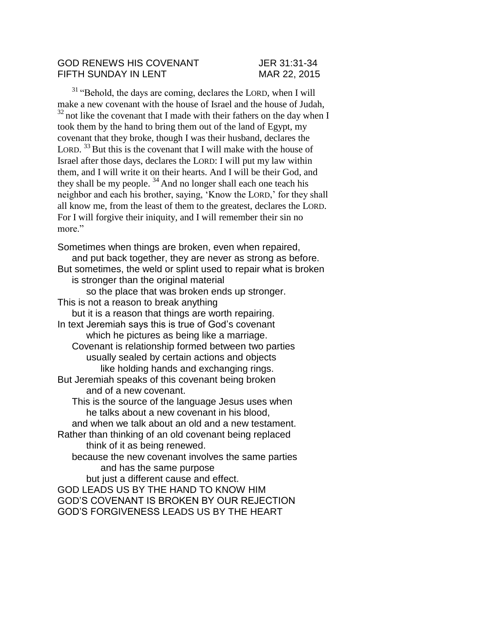## GOD RENEWS HIS COVENANT JER 31:31-34 FIFTH SUNDAY IN LENT MAR 22, 2015

<sup>31</sup> "Behold, the days are coming, declares the LORD, when I will make a new covenant with the house of Israel and the house of Judah,  $32$  not like the covenant that I made with their fathers on the day when I took them by the hand to bring them out of the land of Egypt, my covenant that they broke, though I was their husband, declares the LORD.  $33$  But this is the covenant that I will make with the house of Israel after those days, declares the LORD: I will put my law within them, and I will write it on their hearts. And I will be their God, and they shall be my people.  $34$  And no longer shall each one teach his neighbor and each his brother, saying, 'Know the LORD,' for they shall all know me, from the least of them to the greatest, declares the LORD. For I will forgive their iniquity, and I will remember their sin no more."

Sometimes when things are broken, even when repaired, and put back together, they are never as strong as before. But sometimes, the weld or splint used to repair what is broken is stronger than the original material so the place that was broken ends up stronger. This is not a reason to break anything but it is a reason that things are worth repairing. In text Jeremiah says this is true of God's covenant which he pictures as being like a marriage. Covenant is relationship formed between two parties usually sealed by certain actions and objects like holding hands and exchanging rings. But Jeremiah speaks of this covenant being broken and of a new covenant. This is the source of the language Jesus uses when he talks about a new covenant in his blood, and when we talk about an old and a new testament. Rather than thinking of an old covenant being replaced think of it as being renewed. because the new covenant involves the same parties and has the same purpose but just a different cause and effect. GOD LEADS US BY THE HAND TO KNOW HIM GOD'S COVENANT IS BROKEN BY OUR REJECTION GOD'S FORGIVENESS LEADS US BY THE HEART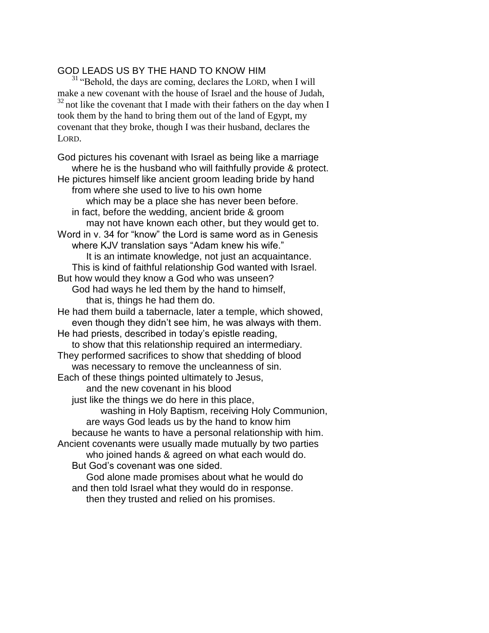## GOD LEADS US BY THE HAND TO KNOW HIM

<sup>31</sup> "Behold, the days are coming, declares the LORD, when I will make a new covenant with the house of Israel and the house of Judah,  $32$  not like the covenant that I made with their fathers on the day when I took them by the hand to bring them out of the land of Egypt, my covenant that they broke, though I was their husband, declares the LORD.

God pictures his covenant with Israel as being like a marriage where he is the husband who will faithfully provide & protect. He pictures himself like ancient groom leading bride by hand from where she used to live to his own home which may be a place she has never been before. in fact, before the wedding, ancient bride & groom may not have known each other, but they would get to. Word in v. 34 for "know" the Lord is same word as in Genesis where KJV translation says "Adam knew his wife." It is an intimate knowledge, not just an acquaintance. This is kind of faithful relationship God wanted with Israel. But how would they know a God who was unseen? God had ways he led them by the hand to himself, that is, things he had them do. He had them build a tabernacle, later a temple, which showed, even though they didn't see him, he was always with them. He had priests, described in today's epistle reading, to show that this relationship required an intermediary. They performed sacrifices to show that shedding of blood was necessary to remove the uncleanness of sin. Each of these things pointed ultimately to Jesus, and the new covenant in his blood just like the things we do here in this place, washing in Holy Baptism, receiving Holy Communion, are ways God leads us by the hand to know him because he wants to have a personal relationship with him. Ancient covenants were usually made mutually by two parties who joined hands & agreed on what each would do. But God's covenant was one sided. God alone made promises about what he would do and then told Israel what they would do in response. then they trusted and relied on his promises.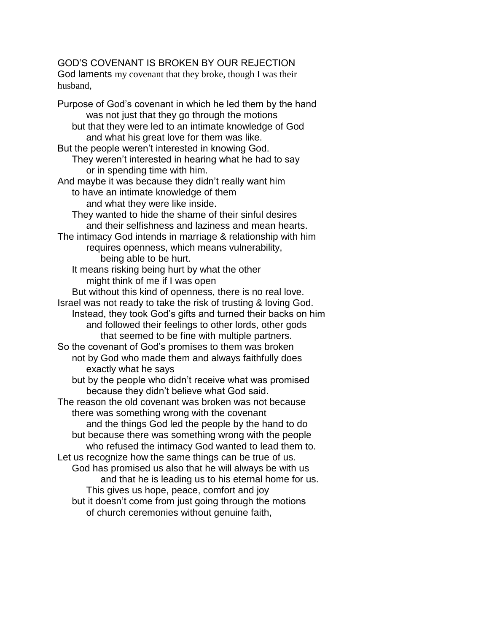# GOD'S COVENANT IS BROKEN BY OUR REJECTION

God laments my covenant that they broke, though I was their husband,

Purpose of God's covenant in which he led them by the hand was not just that they go through the motions but that they were led to an intimate knowledge of God and what his great love for them was like. But the people weren't interested in knowing God. They weren't interested in hearing what he had to say or in spending time with him. And maybe it was because they didn't really want him to have an intimate knowledge of them and what they were like inside. They wanted to hide the shame of their sinful desires and their selfishness and laziness and mean hearts. The intimacy God intends in marriage & relationship with him requires openness, which means vulnerability, being able to be hurt. It means risking being hurt by what the other might think of me if I was open But without this kind of openness, there is no real love. Israel was not ready to take the risk of trusting & loving God. Instead, they took God's gifts and turned their backs on him and followed their feelings to other lords, other gods that seemed to be fine with multiple partners. So the covenant of God's promises to them was broken not by God who made them and always faithfully does exactly what he says but by the people who didn't receive what was promised because they didn't believe what God said. The reason the old covenant was broken was not because there was something wrong with the covenant and the things God led the people by the hand to do but because there was something wrong with the people who refused the intimacy God wanted to lead them to. Let us recognize how the same things can be true of us. God has promised us also that he will always be with us and that he is leading us to his eternal home for us. This gives us hope, peace, comfort and joy but it doesn't come from just going through the motions of church ceremonies without genuine faith,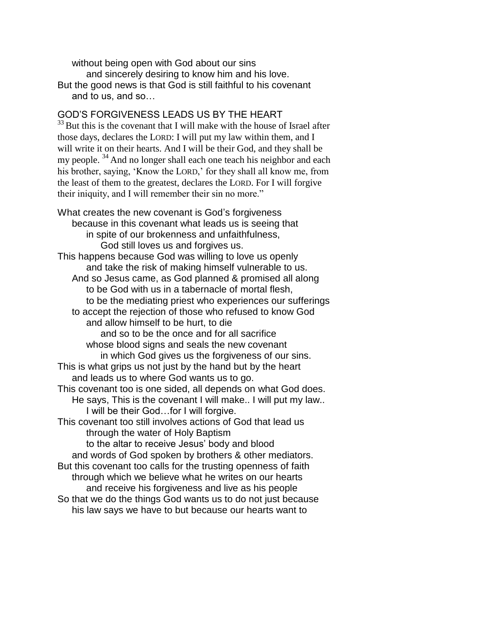without being open with God about our sins and sincerely desiring to know him and his love. But the good news is that God is still faithful to his covenant and to us, and so…

## GOD'S FORGIVENESS LEADS US BY THE HEART

 $33$  But this is the covenant that I will make with the house of Israel after those days, declares the LORD: I will put my law within them, and I will write it on their hearts. And I will be their God, and they shall be my people.  $34$  And no longer shall each one teach his neighbor and each his brother, saying, 'Know the LORD,' for they shall all know me, from the least of them to the greatest, declares the LORD. For I will forgive their iniquity, and I will remember their sin no more."

What creates the new covenant is God's forgiveness because in this covenant what leads us is seeing that in spite of our brokenness and unfaithfulness, God still loves us and forgives us. This happens because God was willing to love us openly and take the risk of making himself vulnerable to us. And so Jesus came, as God planned & promised all along to be God with us in a tabernacle of mortal flesh, to be the mediating priest who experiences our sufferings to accept the rejection of those who refused to know God and allow himself to be hurt, to die and so to be the once and for all sacrifice whose blood signs and seals the new covenant in which God gives us the forgiveness of our sins. This is what grips us not just by the hand but by the heart and leads us to where God wants us to go. This covenant too is one sided, all depends on what God does. He says, This is the covenant I will make.. I will put my law.. I will be their God…for I will forgive. This covenant too still involves actions of God that lead us through the water of Holy Baptism to the altar to receive Jesus' body and blood and words of God spoken by brothers & other mediators. But this covenant too calls for the trusting openness of faith through which we believe what he writes on our hearts and receive his forgiveness and live as his people So that we do the things God wants us to do not just because his law says we have to but because our hearts want to